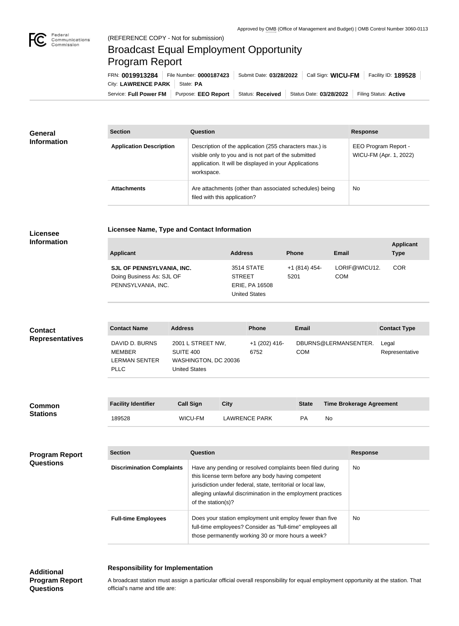

# Broadcast Equal Employment Opportunity Program Report

**Licensee Name, Type and Contact Information**

Service: Full Power FM Purpose: EEO Report | Status: Received | Status Date: 03/28/2022 | Filing Status: Active City: LAWRENCE PARK | State: PA FRN: **0019913284** File Number: **0000187423** Submit Date: **03/28/2022** Call Sign: **WICU-FM** Facility ID: **189528**

| <b>General</b><br><b>Information</b> | <b>Section</b>                 | <b>Question</b>                                                                                                                                                                         | <b>Response</b>                                |
|--------------------------------------|--------------------------------|-----------------------------------------------------------------------------------------------------------------------------------------------------------------------------------------|------------------------------------------------|
|                                      | <b>Application Description</b> | Description of the application (255 characters max.) is<br>visible only to you and is not part of the submitted<br>application. It will be displayed in your Applications<br>workspace. | EEO Program Report -<br>WICU-FM (Apr. 1, 2022) |
|                                      | <b>Attachments</b>             | Are attachments (other than associated schedules) being<br>filed with this application?                                                                                                 | No                                             |

### **Licensee Information**

| Applicant                                                                    | <b>Address</b>                                                               | <b>Phone</b>          | Email                       | <b>Applicant</b><br><b>Type</b> |
|------------------------------------------------------------------------------|------------------------------------------------------------------------------|-----------------------|-----------------------------|---------------------------------|
| SJL OF PENNSYLVANIA, INC.<br>Doing Business As: SJL OF<br>PENNSYLVANIA, INC. | 3514 STATE<br><b>STREET</b><br><b>ERIE, PA 16508</b><br><b>United States</b> | +1 (814) 454-<br>5201 | LORIF@WICU12.<br><b>COM</b> | <b>COR</b>                      |

| <b>Contact</b><br><b>Representatives</b> | <b>Contact Name</b>                                                    | <b>Address</b>                                                                 | <b>Phone</b>            | <b>Email</b>                       | <b>Contact Type</b>     |
|------------------------------------------|------------------------------------------------------------------------|--------------------------------------------------------------------------------|-------------------------|------------------------------------|-------------------------|
|                                          | DAVID D. BURNS<br><b>MEMBER</b><br><b>LERMAN SENTER</b><br><b>PLLC</b> | 2001 L STREET NW,<br>SUITE 400<br>WASHINGTON, DC 20036<br><b>United States</b> | $+1$ (202) 416-<br>6752 | DBURNS@LERMANSENTER.<br><b>COM</b> | Legal<br>Representative |
|                                          |                                                                        |                                                                                |                         |                                    |                         |

| <b>Common</b><br><b>Stations</b> | <b>Facility Identifier</b> | <b>Call Sign</b> | <b>City</b>   | <b>State</b> | <b>Time Brokerage Agreement</b> |
|----------------------------------|----------------------------|------------------|---------------|--------------|---------------------------------|
|                                  | 189528                     | WICU-FM          | LAWRENCE PARK | PА           | No                              |

## **Program Report Questions**

| <b>Section</b>                   | Question                                                                                                                                                                                                                                                              | <b>Response</b> |
|----------------------------------|-----------------------------------------------------------------------------------------------------------------------------------------------------------------------------------------------------------------------------------------------------------------------|-----------------|
| <b>Discrimination Complaints</b> | Have any pending or resolved complaints been filed during<br>this license term before any body having competent<br>jurisdiction under federal, state, territorial or local law,<br>alleging unlawful discrimination in the employment practices<br>of the station(s)? | No.             |
| <b>Full-time Employees</b>       | Does your station employment unit employ fewer than five<br>full-time employees? Consider as "full-time" employees all<br>those permanently working 30 or more hours a week?                                                                                          | No.             |

### **Responsibility for Implementation**

**Additional Program Report Questions**

#### A broadcast station must assign a particular official overall responsibility for equal employment opportunity at the station. That official's name and title are: